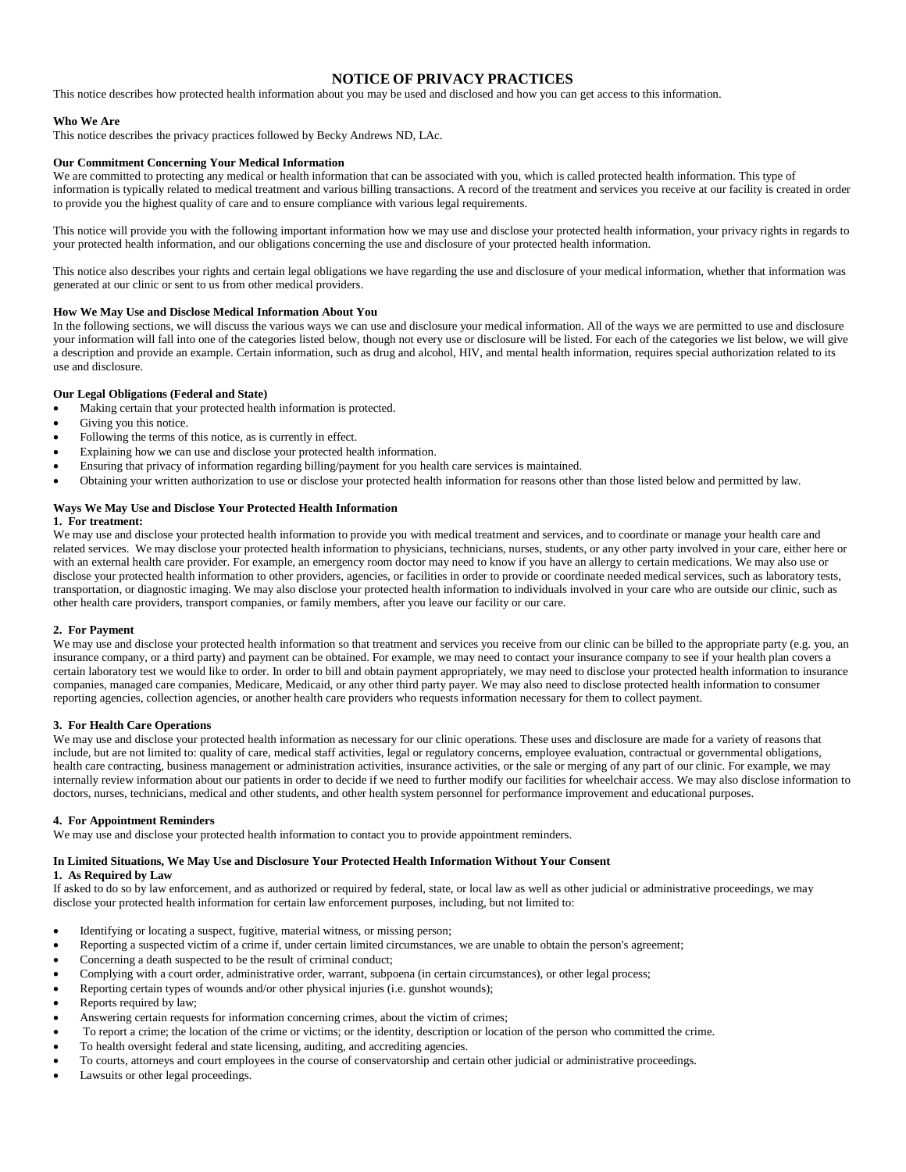# **NOTICE OF PRIVACY PRACTICES**

This notice describes how protected health information about you may be used and disclosed and how you can get access to this information.

### **Who We Are**

This notice describes the privacy practices followed by Becky Andrews ND, LAc.

### **Our Commitment Concerning Your Medical Information**

We are committed to protecting any medical or health information that can be associated with you, which is called protected health information. This type of information is typically related to medical treatment and various billing transactions. A record of the treatment and services you receive at our facility is created in order to provide you the highest quality of care and to ensure compliance with various legal requirements.

This notice will provide you with the following important information how we may use and disclose your protected health information, your privacy rights in regards to your protected health information, and our obligations concerning the use and disclosure of your protected health information.

This notice also describes your rights and certain legal obligations we have regarding the use and disclosure of your medical information, whether that information was generated at our clinic or sent to us from other medical providers.

#### **How We May Use and Disclose Medical Information About You**

In the following sections, we will discuss the various ways we can use and disclosure your medical information. All of the ways we are permitted to use and disclosure your information will fall into one of the categories listed below, though not every use or disclosure will be listed. For each of the categories we list below, we will give a description and provide an example. Certain information, such as drug and alcohol, HIV, and mental health information, requires special authorization related to its use and disclosure.

# **Our Legal Obligations (Federal and State)**

- Making certain that your protected health information is protected.
- Giving you this notice.
- Following the terms of this notice, as is currently in effect.
- Explaining how we can use and disclose your protected health information.
- Ensuring that privacy of information regarding billing/payment for you health care services is maintained.
- Obtaining your written authorization to use or disclose your protected health information for reasons other than those listed below and permitted by law.

# **Ways We May Use and Disclose Your Protected Health Information**

# **1. For treatment:**

We may use and disclose your protected health information to provide you with medical treatment and services, and to coordinate or manage your health care and related services. We may disclose your protected health information to physicians, technicians, nurses, students, or any other party involved in your care, either here or with an external health care provider. For example, an emergency room doctor may need to know if you have an allergy to certain medications. We may also use or disclose your protected health information to other providers, agencies, or facilities in order to provide or coordinate needed medical services, such as laboratory tests, transportation, or diagnostic imaging. We may also disclose your protected health information to individuals involved in your care who are outside our clinic, such as other health care providers, transport companies, or family members, after you leave our facility or our care.

### **2. For Payment**

We may use and disclose your protected health information so that treatment and services you receive from our clinic can be billed to the appropriate party (e.g. you, an insurance company, or a third party) and payment can be obtained. For example, we may need to contact your insurance company to see if your health plan covers a certain laboratory test we would like to order. In order to bill and obtain payment appropriately, we may need to disclose your protected health information to insurance companies, managed care companies, Medicare, Medicaid, or any other third party payer. We may also need to disclose protected health information to consumer reporting agencies, collection agencies, or another health care providers who requests information necessary for them to collect payment.

### **3. For Health Care Operations**

We may use and disclose your protected health information as necessary for our clinic operations. These uses and disclosure are made for a variety of reasons that include, but are not limited to: quality of care, medical staff activities, legal or regulatory concerns, employee evaluation, contractual or governmental obligations, health care contracting, business management or administration activities, insurance activities, or the sale or merging of any part of our clinic. For example, we may internally review information about our patients in order to decide if we need to further modify our facilities for wheelchair access. We may also disclose information to doctors, nurses, technicians, medical and other students, and other health system personnel for performance improvement and educational purposes.

### **4. For Appointment Reminders**

We may use and disclose your protected health information to contact you to provide appointment reminders.

### **In Limited Situations, We May Use and Disclosure Your Protected Health Information Without Your Consent**

# **1. As Required by Law**

If asked to do so by law enforcement, and as authorized or required by federal, state, or local law as well as other judicial or administrative proceedings, we may disclose your protected health information for certain law enforcement purposes, including, but not limited to:

- Identifying or locating a suspect, fugitive, material witness, or missing person;
- Reporting a suspected victim of a crime if, under certain limited circumstances, we are unable to obtain the person's agreement;
- Concerning a death suspected to be the result of criminal conduct;
- Complying with a court order, administrative order, warrant, subpoena (in certain circumstances), or other legal process;
- Reporting certain types of wounds and/or other physical injuries (i.e. gunshot wounds);
- Reports required by law;
- Answering certain requests for information concerning crimes, about the victim of crimes;
- To report a crime; the location of the crime or victims; or the identity, description or location of the person who committed the crime.
- To health oversight federal and state licensing, auditing, and accrediting agencies.
- To courts, attorneys and court employees in the course of conservatorship and certain other judicial or administrative proceedings.
- Lawsuits or other legal proceedings.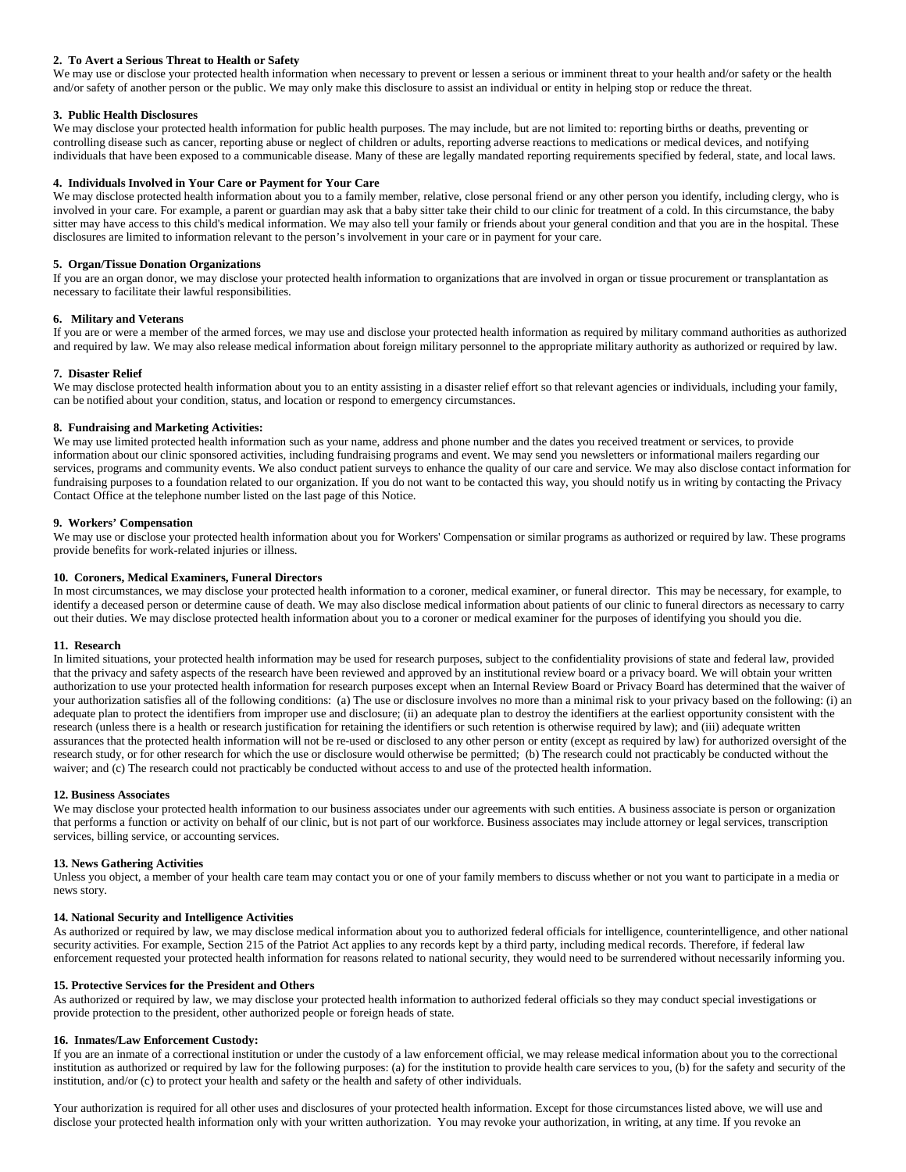# **2. To Avert a Serious Threat to Health or Safety**

We may use or disclose your protected health information when necessary to prevent or lessen a serious or imminent threat to your health and/or safety or the health and/or safety of another person or the public. We may only make this disclosure to assist an individual or entity in helping stop or reduce the threat.

# **3. Public Health Disclosures**

We may disclose your protected health information for public health purposes. The may include, but are not limited to: reporting births or deaths, preventing or controlling disease such as cancer, reporting abuse or neglect of children or adults, reporting adverse reactions to medications or medical devices, and notifying individuals that have been exposed to a communicable disease. Many of these are legally mandated reporting requirements specified by federal, state, and local laws.

# **4. Individuals Involved in Your Care or Payment for Your Care**

We may disclose protected health information about you to a family member, relative, close personal friend or any other person you identify, including clergy, who is involved in your care. For example, a parent or guardian may ask that a baby sitter take their child to our clinic for treatment of a cold. In this circumstance, the baby sitter may have access to this child's medical information. We may also tell your family or friends about your general condition and that you are in the hospital. These disclosures are limited to information relevant to the person's involvement in your care or in payment for your care.

# **5. Organ/Tissue Donation Organizations**

If you are an organ donor, we may disclose your protected health information to organizations that are involved in organ or tissue procurement or transplantation as necessary to facilitate their lawful responsibilities.

# **6. Military and Veterans**

If you are or were a member of the armed forces, we may use and disclose your protected health information as required by military command authorities as authorized and required by law. We may also release medical information about foreign military personnel to the appropriate military authority as authorized or required by law.

# **7. Disaster Relief**

We may disclose protected health information about you to an entity assisting in a disaster relief effort so that relevant agencies or individuals, including your family, can be notified about your condition, status, and location or respond to emergency circumstances.

# **8. Fundraising and Marketing Activities:**

We may use limited protected health information such as your name, address and phone number and the dates you received treatment or services, to provide information about our clinic sponsored activities, including fundraising programs and event. We may send you newsletters or informational mailers regarding our services, programs and community events. We also conduct patient surveys to enhance the quality of our care and service. We may also disclose contact information for fundraising purposes to a foundation related to our organization. If you do not want to be contacted this way, you should notify us in writing by contacting the Privacy Contact Office at the telephone number listed on the last page of this Notice.

# **9. Workers' Compensation**

We may use or disclose your protected health information about you for Workers' Compensation or similar programs as authorized or required by law. These programs provide benefits for work-related injuries or illness.

# **10. Coroners, Medical Examiners, Funeral Directors**

In most circumstances, we may disclose your protected health information to a coroner, medical examiner, or funeral director. This may be necessary, for example, to identify a deceased person or determine cause of death. We may also disclose medical information about patients of our clinic to funeral directors as necessary to carry out their duties. We may disclose protected health information about you to a coroner or medical examiner for the purposes of identifying you should you die.

### **11. Research**

In limited situations, your protected health information may be used for research purposes, subject to the confidentiality provisions of state and federal law, provided that the privacy and safety aspects of the research have been reviewed and approved by an institutional review board or a privacy board. We will obtain your written authorization to use your protected health information for research purposes except when an Internal Review Board or Privacy Board has determined that the waiver of your authorization satisfies all of the following conditions: (a) The use or disclosure involves no more than a minimal risk to your privacy based on the following: (i) an adequate plan to protect the identifiers from improper use and disclosure; (ii) an adequate plan to destroy the identifiers at the earliest opportunity consistent with the research (unless there is a health or research justification for retaining the identifiers or such retention is otherwise required by law); and (iii) adequate written assurances that the protected health information will not be re-used or disclosed to any other person or entity (except as required by law) for authorized oversight of the research study, or for other research for which the use or disclosure would otherwise be permitted; (b) The research could not practicably be conducted without the waiver; and (c) The research could not practicably be conducted without access to and use of the protected health information.

### **12. Business Associates**

We may disclose your protected health information to our business associates under our agreements with such entities. A business associate is person or organization that performs a function or activity on behalf of our clinic, but is not part of our workforce. Business associates may include attorney or legal services, transcription services, billing service, or accounting services.

# **13. News Gathering Activities**

Unless you object, a member of your health care team may contact you or one of your family members to discuss whether or not you want to participate in a media or news story.

# **14. National Security and Intelligence Activities**

As authorized or required by law, we may disclose medical information about you to authorized federal officials for intelligence, counterintelligence, and other national security activities. For example, Section 215 of the Patriot Act applies to any records kept by a third party, including medical records. Therefore, if federal law enforcement requested your protected health information for reasons related to national security, they would need to be surrendered without necessarily informing you.

### **15. Protective Services for the President and Others**

As authorized or required by law, we may disclose your protected health information to authorized federal officials so they may conduct special investigations or provide protection to the president, other authorized people or foreign heads of state.

### **16. Inmates/Law Enforcement Custody:**

If you are an inmate of a correctional institution or under the custody of a law enforcement official, we may release medical information about you to the correctional institution as authorized or required by law for the following purposes: (a) for the institution to provide health care services to you, (b) for the safety and security of the institution, and/or (c) to protect your health and safety or the health and safety of other individuals.

Your authorization is required for all other uses and disclosures of your protected health information. Except for those circumstances listed above, we will use and disclose your protected health information only with your written authorization. You may revoke your authorization, in writing, at any time. If you revoke an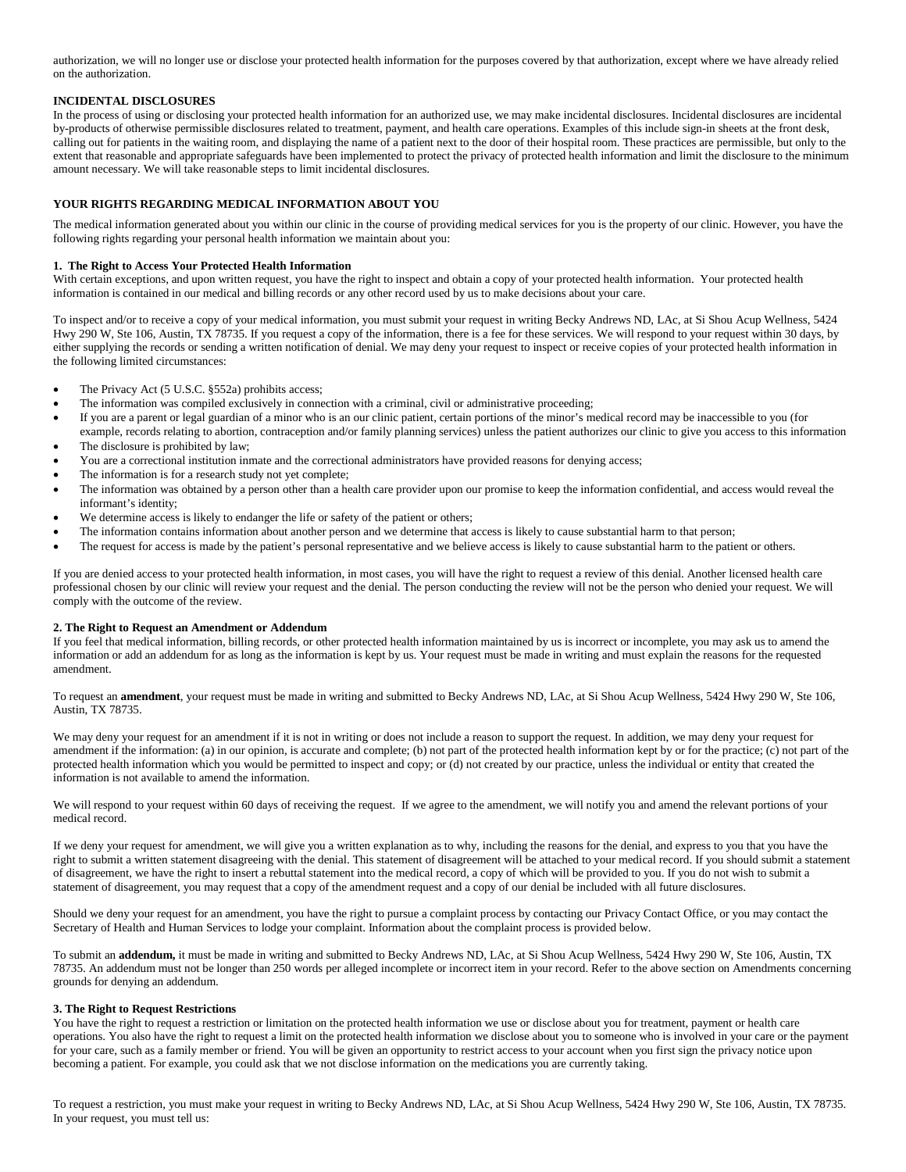authorization, we will no longer use or disclose your protected health information for the purposes covered by that authorization, except where we have already relied on the authorization.

# **INCIDENTAL DISCLOSURES**

In the process of using or disclosing your protected health information for an authorized use, we may make incidental disclosures. Incidental disclosures are incidental by-products of otherwise permissible disclosures related to treatment, payment, and health care operations. Examples of this include sign-in sheets at the front desk, calling out for patients in the waiting room, and displaying the name of a patient next to the door of their hospital room. These practices are permissible, but only to the extent that reasonable and appropriate safeguards have been implemented to protect the privacy of protected health information and limit the disclosure to the minimum amount necessary. We will take reasonable steps to limit incidental disclosures.

# **YOUR RIGHTS REGARDING MEDICAL INFORMATION ABOUT YOU**

The medical information generated about you within our clinic in the course of providing medical services for you is the property of our clinic. However, you have the following rights regarding your personal health information we maintain about you:

### **1. The Right to Access Your Protected Health Information**

With certain exceptions, and upon written request, you have the right to inspect and obtain a copy of your protected health information. Your protected health information is contained in our medical and billing records or any other record used by us to make decisions about your care.

To inspect and/or to receive a copy of your medical information, you must submit your request in writing Becky Andrews ND, LAc, at Si Shou Acup Wellness, 5424 Hwy 290 W, Ste 106, Austin, TX 78735. If you request a copy of the information, there is a fee for these services. We will respond to your request within 30 days, by either supplying the records or sending a written notification of denial. We may deny your request to inspect or receive copies of your protected health information in the following limited circumstances:

- The Privacy Act (5 U.S.C. §552a) prohibits access;
- The information was compiled exclusively in connection with a criminal, civil or administrative proceeding;
- If you are a parent or legal guardian of a minor who is an our clinic patient, certain portions of the minor's medical record may be inaccessible to you (for example, records relating to abortion, contraception and/or family planning services) unless the patient authorizes our clinic to give you access to this information
- The disclosure is prohibited by law;
- You are a correctional institution inmate and the correctional administrators have provided reasons for denying access;
- The information is for a research study not yet complete;
- The information was obtained by a person other than a health care provider upon our promise to keep the information confidential, and access would reveal the informant's identity;
- We determine access is likely to endanger the life or safety of the patient or others;
- The information contains information about another person and we determine that access is likely to cause substantial harm to that person;
- The request for access is made by the patient's personal representative and we believe access is likely to cause substantial harm to the patient or others.

If you are denied access to your protected health information, in most cases, you will have the right to request a review of this denial. Another licensed health care professional chosen by our clinic will review your request and the denial. The person conducting the review will not be the person who denied your request. We will comply with the outcome of the review.

### **2. The Right to Request an Amendment or Addendum**

If you feel that medical information, billing records, or other protected health information maintained by us is incorrect or incomplete, you may ask us to amend the information or add an addendum for as long as the information is kept by us. Your request must be made in writing and must explain the reasons for the requested amendment.

To request an **amendment**, your request must be made in writing and submitted to Becky Andrews ND, LAc, at Si Shou Acup Wellness, 5424 Hwy 290 W, Ste 106, Austin, TX 78735.

We may deny your request for an amendment if it is not in writing or does not include a reason to support the request. In addition, we may deny your request for amendment if the information: (a) in our opinion, is accurate and complete; (b) not part of the protected health information kept by or for the practice; (c) not part of the protected health information which you would be permitted to inspect and copy; or (d) not created by our practice, unless the individual or entity that created the information is not available to amend the information.

We will respond to your request within 60 days of receiving the request. If we agree to the amendment, we will notify you and amend the relevant portions of your medical record.

If we deny your request for amendment, we will give you a written explanation as to why, including the reasons for the denial, and express to you that you have the right to submit a written statement disagreeing with the denial. This statement of disagreement will be attached to your medical record. If you should submit a statement of disagreement, we have the right to insert a rebuttal statement into the medical record, a copy of which will be provided to you. If you do not wish to submit a statement of disagreement, you may request that a copy of the amendment request and a copy of our denial be included with all future disclosures.

Should we deny your request for an amendment, you have the right to pursue a complaint process by contacting our Privacy Contact Office, or you may contact the Secretary of Health and Human Services to lodge your complaint. Information about the complaint process is provided below.

To submit an **addendum,** it must be made in writing and submitted to Becky Andrews ND, LAc, at Si Shou Acup Wellness, 5424 Hwy 290 W, Ste 106, Austin, TX 78735. An addendum must not be longer than 250 words per alleged incomplete or incorrect item in your record. Refer to the above section on Amendments concerning grounds for denying an addendum.

### **3. The Right to Request Restrictions**

You have the right to request a restriction or limitation on the protected health information we use or disclose about you for treatment, payment or health care operations. You also have the right to request a limit on the protected health information we disclose about you to someone who is involved in your care or the payment for your care, such as a family member or friend. You will be given an opportunity to restrict access to your account when you first sign the privacy notice upon becoming a patient. For example, you could ask that we not disclose information on the medications you are currently taking.

To request a restriction, you must make your request in writing to Becky Andrews ND, LAc, at Si Shou Acup Wellness, 5424 Hwy 290 W, Ste 106, Austin, TX 78735. In your request, you must tell us: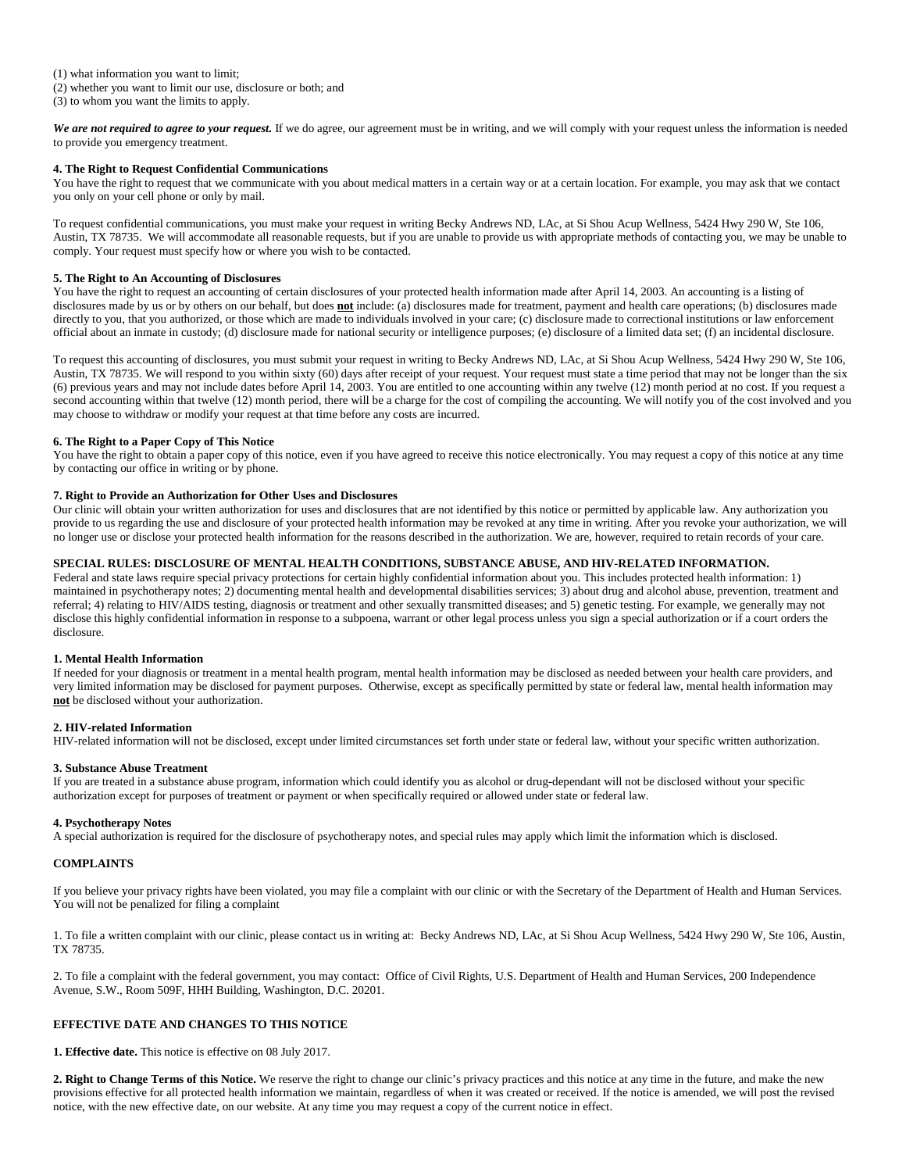We are not required to agree to your request. If we do agree, our agreement must be in writing, and we will comply with your request unless the information is needed to provide you emergency treatment.

# **4. The Right to Request Confidential Communications**

You have the right to request that we communicate with you about medical matters in a certain way or at a certain location. For example, you may ask that we contact you only on your cell phone or only by mail.

To request confidential communications, you must make your request in writing Becky Andrews ND, LAc, at Si Shou Acup Wellness, 5424 Hwy 290 W, Ste 106, Austin, TX 78735. We will accommodate all reasonable requests, but if you are unable to provide us with appropriate methods of contacting you, we may be unable to comply. Your request must specify how or where you wish to be contacted.

# **5. The Right to An Accounting of Disclosures**

You have the right to request an accounting of certain disclosures of your protected health information made after April 14, 2003. An accounting is a listing of disclosures made by us or by others on our behalf, but does **not** include: (a) disclosures made for treatment, payment and health care operations; (b) disclosures made directly to you, that you authorized, or those which are made to individuals involved in your care; (c) disclosure made to correctional institutions or law enforcement official about an inmate in custody; (d) disclosure made for national security or intelligence purposes; (e) disclosure of a limited data set; (f) an incidental disclosure.

To request this accounting of disclosures, you must submit your request in writing to Becky Andrews ND, LAc, at Si Shou Acup Wellness, 5424 Hwy 290 W, Ste 106, Austin, TX 78735. We will respond to you within sixty (60) days after receipt of your request. Your request must state a time period that may not be longer than the six (6) previous years and may not include dates before April 14, 2003. You are entitled to one accounting within any twelve (12) month period at no cost. If you request a second accounting within that twelve (12) month period, there will be a charge for the cost of compiling the accounting. We will notify you of the cost involved and you may choose to withdraw or modify your request at that time before any costs are incurred.

### **6. The Right to a Paper Copy of This Notice**

You have the right to obtain a paper copy of this notice, even if you have agreed to receive this notice electronically. You may request a copy of this notice at any time by contacting our office in writing or by phone.

# **7. Right to Provide an Authorization for Other Uses and Disclosures**

Our clinic will obtain your written authorization for uses and disclosures that are not identified by this notice or permitted by applicable law. Any authorization you provide to us regarding the use and disclosure of your protected health information may be revoked at any time in writing. After you revoke your authorization, we will no longer use or disclose your protected health information for the reasons described in the authorization. We are, however, required to retain records of your care.

# **SPECIAL RULES: DISCLOSURE OF MENTAL HEALTH CONDITIONS, SUBSTANCE ABUSE, AND HIV-RELATED INFORMATION.**

Federal and state laws require special privacy protections for certain highly confidential information about you. This includes protected health information: 1) maintained in psychotherapy notes; 2) documenting mental health and developmental disabilities services; 3) about drug and alcohol abuse, prevention, treatment and referral; 4) relating to HIV/AIDS testing, diagnosis or treatment and other sexually transmitted diseases; and 5) genetic testing. For example, we generally may not disclose this highly confidential information in response to a subpoena, warrant or other legal process unless you sign a special authorization or if a court orders the disclosure.

### **1. Mental Health Information**

If needed for your diagnosis or treatment in a mental health program, mental health information may be disclosed as needed between your health care providers, and very limited information may be disclosed for payment purposes. Otherwise, except as specifically permitted by state or federal law, mental health information may **not** be disclosed without your authorization.

### **2. HIV-related Information**

HIV-related information will not be disclosed, except under limited circumstances set forth under state or federal law, without your specific written authorization.

### **3. Substance Abuse Treatment**

If you are treated in a substance abuse program, information which could identify you as alcohol or drug-dependant will not be disclosed without your specific authorization except for purposes of treatment or payment or when specifically required or allowed under state or federal law.

### **4. Psychotherapy Notes**

A special authorization is required for the disclosure of psychotherapy notes, and special rules may apply which limit the information which is disclosed.

# **COMPLAINTS**

If you believe your privacy rights have been violated, you may file a complaint with our clinic or with the Secretary of the Department of Health and Human Services. You will not be penalized for filing a complaint

1. To file a written complaint with our clinic, please contact us in writing at: Becky Andrews ND, LAc, at Si Shou Acup Wellness, 5424 Hwy 290 W, Ste 106, Austin, TX 78735.

2. To file a complaint with the federal government, you may contact: Office of Civil Rights, U.S. Department of Health and Human Services, 200 Independence Avenue, S.W., Room 509F, HHH Building, Washington, D.C. 20201.

# **EFFECTIVE DATE AND CHANGES TO THIS NOTICE**

**1. Effective date.** This notice is effective on 08 July 2017.

**2. Right to Change Terms of this Notice.** We reserve the right to change our clinic's privacy practices and this notice at any time in the future, and make the new provisions effective for all protected health information we maintain, regardless of when it was created or received. If the notice is amended, we will post the revised notice, with the new effective date, on our website. At any time you may request a copy of the current notice in effect.